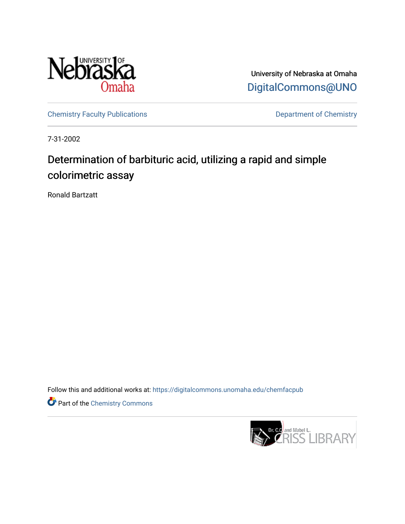

University of Nebraska at Omaha [DigitalCommons@UNO](https://digitalcommons.unomaha.edu/) 

[Chemistry Faculty Publications](https://digitalcommons.unomaha.edu/chemfacpub) **Department of Chemistry** 

7-31-2002

# Determination of barbituric acid, utilizing a rapid and simple colorimetric assay

Ronald Bartzatt

Follow this and additional works at: [https://digitalcommons.unomaha.edu/chemfacpub](https://digitalcommons.unomaha.edu/chemfacpub?utm_source=digitalcommons.unomaha.edu%2Fchemfacpub%2F66&utm_medium=PDF&utm_campaign=PDFCoverPages) 

Part of the [Chemistry Commons](http://network.bepress.com/hgg/discipline/131?utm_source=digitalcommons.unomaha.edu%2Fchemfacpub%2F66&utm_medium=PDF&utm_campaign=PDFCoverPages) 

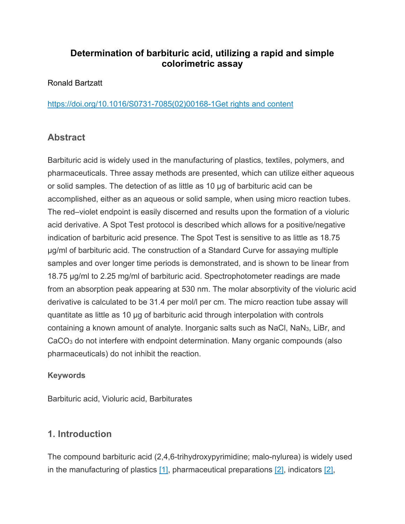# **Determination of barbituric acid, utilizing a rapid and simple colorimetric assay**

#### [Ronald Bartzatt](https://www.sciencedirect.com/science/article/pii/S0731708502001681?via%3Dihub#!)

[https://doi.org/10.1016/S0731-7085\(02\)00168-1](https://doi.org/10.1016/S0731-7085(02)00168-1)[Get rights and content](https://s100.copyright.com/AppDispatchServlet?publisherName=ELS&contentID=S0731708502001681&orderBeanReset=true)

## **Abstract**

Barbituric acid is widely used in the manufacturing of plastics, textiles, polymers, and pharmaceuticals. Three assay methods are presented, which can utilize either aqueous or solid samples. The detection of as little as 10 μg of barbituric acid can be accomplished, either as an aqueous or solid sample, when using micro reaction tubes. The red–violet endpoint is easily discerned and results upon the formation of a violuric acid derivative. A Spot Test protocol is described which allows for a positive/negative indication of barbituric acid presence. The Spot Test is sensitive to as little as 18.75 μg/ml of barbituric acid. The construction of a Standard Curve for assaying multiple samples and over longer time periods is demonstrated, and is shown to be linear from 18.75 μg/ml to 2.25 mg/ml of barbituric acid. Spectrophotometer readings are made from an absorption peak appearing at 530 nm. The molar absorptivity of the violuric acid derivative is calculated to be 31.4 per mol/l per cm. The micro reaction tube assay will quantitate as little as 10 μg of barbituric acid through interpolation with controls containing a known amount of analyte. Inorganic salts such as NaCl, NaN3, LiBr, and CaCO<sup>3</sup> do not interfere with endpoint determination. Many organic compounds (also pharmaceuticals) do not inhibit the reaction.

#### **Keywords**

Barbituric acid, Violuric acid, Barbiturates

## **1. Introduction**

The compound barbituric acid (2,4,6-trihydroxypyrimidine; malo-nylurea) is widely used in the manufacturing of plastics [\[1\],](https://www.sciencedirect.com/science/article/pii/S0731708502001681?via%3Dihub#BIB1) pharmaceutical preparations [\[2\],](https://www.sciencedirect.com/science/article/pii/S0731708502001681?via%3Dihub#BIB2) indicators [\[2\],](https://www.sciencedirect.com/science/article/pii/S0731708502001681?via%3Dihub#BIB2)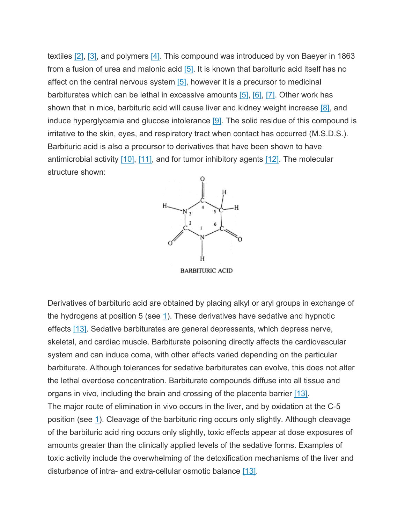textiles  $[2]$ ,  $[3]$ , and polymers  $[4]$ . This compound was introduced by von Baeyer in 1863 from a fusion of urea and malonic acid [\[5\].](https://www.sciencedirect.com/science/article/pii/S0731708502001681?via%3Dihub#BIB5) It is known that barbituric acid itself has no affect on the central nervous system  $[5]$ , however it is a precursor to medicinal barbiturates which can be lethal in excessive amounts [\[5\],](https://www.sciencedirect.com/science/article/pii/S0731708502001681?via%3Dihub#BIB5) [\[6\],](https://www.sciencedirect.com/science/article/pii/S0731708502001681?via%3Dihub#BIB6) [\[7\]](https://www.sciencedirect.com/science/article/pii/S0731708502001681?via%3Dihub#BIB7). Other work has shown that in mice, barbituric acid will cause liver and kidney weight increase [\[8\],](https://www.sciencedirect.com/science/article/pii/S0731708502001681?via%3Dihub#BIB8) and induce hyperglycemia and glucose intolerance  $[9]$ . The solid residue of this compound is irritative to the skin, eyes, and respiratory tract when contact has occurred (M.S.D.S.). Barbituric acid is also a precursor to derivatives that have been shown to have antimicrobial activity  $[10]$ ,  $[11]$ , and for tumor inhibitory agents  $[12]$ . The molecular structure shown:



**BARBITURIC ACID** 

Derivatives of barbituric acid are obtained by placing alkyl or aryl groups in exchange of the hydrogens at position 5 (see  $1$ ). These derivatives have sedative and hypnotic effects [\[13\].](https://www.sciencedirect.com/science/article/pii/S0731708502001681?via%3Dihub#BIB13) Sedative barbiturates are general depressants, which depress nerve, skeletal, and cardiac muscle. Barbiturate poisoning directly affects the cardiovascular system and can induce coma, with other effects varied depending on the particular barbiturate. Although tolerances for sedative barbiturates can evolve, this does not alter the lethal overdose concentration. Barbiturate compounds diffuse into all tissue and organs in vivo, including the brain and crossing of the placenta barrier [\[13\].](https://www.sciencedirect.com/science/article/pii/S0731708502001681?via%3Dihub#BIB13) The major route of elimination in vivo occurs in the liver, and by oxidation at the C-5 position (see [1](https://www.sciencedirect.com/science/article/pii/S0731708502001681?via%3Dihub#FX1)). Cleavage of the barbituric ring occurs only slightly. Although cleavage of the barbituric acid ring occurs only slightly, toxic effects appear at dose exposures of amounts greater than the clinically applied levels of the sedative forms. Examples of toxic activity include the overwhelming of the detoxification mechanisms of the liver and disturbance of intra- and extra-cellular osmotic balance [\[13\].](https://www.sciencedirect.com/science/article/pii/S0731708502001681?via%3Dihub#BIB13)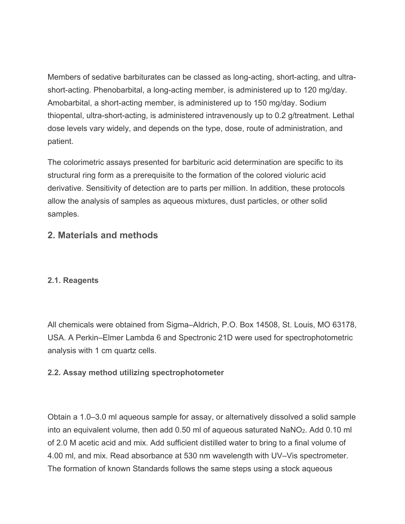Members of sedative barbiturates can be classed as long-acting, short-acting, and ultrashort-acting. Phenobarbital, a long-acting member, is administered up to 120 mg/day. Amobarbital, a short-acting member, is administered up to 150 mg/day. Sodium thiopental, ultra-short-acting, is administered intravenously up to 0.2 g/treatment. Lethal dose levels vary widely, and depends on the type, dose, route of administration, and patient.

The colorimetric assays presented for barbituric acid determination are specific to its structural ring form as a prerequisite to the formation of the colored violuric acid derivative. Sensitivity of detection are to parts per million. In addition, these protocols allow the analysis of samples as aqueous mixtures, dust particles, or other solid samples.

## **2. Materials and methods**

#### **2.1. Reagents**

All chemicals were obtained from Sigma–Aldrich, P.O. Box 14508, St. Louis, MO 63178, USA. A Perkin–Elmer Lambda 6 and Spectronic 21D were used for spectrophotometric analysis with 1 cm quartz cells.

#### **2.2. Assay method utilizing spectrophotometer**

Obtain a 1.0–3.0 ml aqueous sample for assay, or alternatively dissolved a solid sample into an equivalent volume, then add 0.50 ml of aqueous saturated NaNO2. Add 0.10 ml of 2.0 M acetic acid and mix. Add sufficient distilled water to bring to a final volume of 4.00 ml, and mix. Read absorbance at 530 nm wavelength with UV–Vis spectrometer. The formation of known Standards follows the same steps using a stock aqueous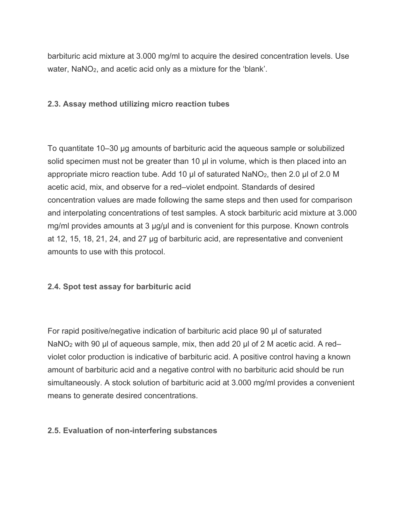barbituric acid mixture at 3.000 mg/ml to acquire the desired concentration levels. Use water, NaNO<sub>2</sub>, and acetic acid only as a mixture for the 'blank'.

#### **2.3. Assay method utilizing micro reaction tubes**

To quantitate 10–30 μg amounts of barbituric acid the aqueous sample or solubilized solid specimen must not be greater than 10 μl in volume, which is then placed into an appropriate micro reaction tube. Add 10 μl of saturated NaNO<sub>2</sub>, then 2.0 μl of 2.0 M acetic acid, mix, and observe for a red–violet endpoint. Standards of desired concentration values are made following the same steps and then used for comparison and interpolating concentrations of test samples. A stock barbituric acid mixture at 3.000 mg/ml provides amounts at 3 μg/μl and is convenient for this purpose. Known controls at 12, 15, 18, 21, 24, and 27 μg of barbituric acid, are representative and convenient amounts to use with this protocol.

#### **2.4. Spot test assay for barbituric acid**

For rapid positive/negative indication of barbituric acid place 90 μl of saturated NaNO<sup>2</sup> with 90 μl of aqueous sample, mix, then add 20 μl of 2 M acetic acid. A red– violet color production is indicative of barbituric acid. A positive control having a known amount of barbituric acid and a negative control with no barbituric acid should be run simultaneously. A stock solution of barbituric acid at 3.000 mg/ml provides a convenient means to generate desired concentrations.

#### **2.5. Evaluation of non-interfering substances**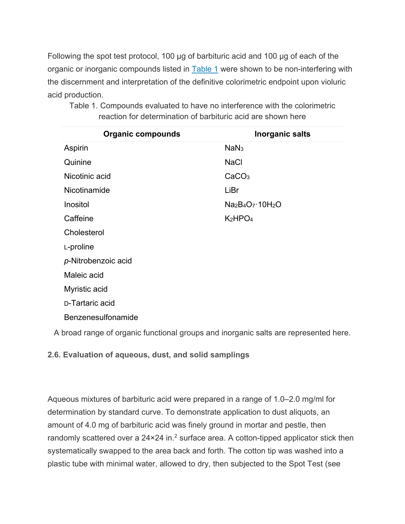Following the spot test protocol, 100 μg of barbituric acid and 100 μg of each of the organic or inorganic compounds listed in [Table 1](https://www.sciencedirect.com/science/article/pii/S0731708502001681?via%3Dihub#TBL1) were shown to be non-interfering with the discernment and interpretation of the definitive colorimetric endpoint upon violuric acid production.

| <b>Organic compounds</b> | <b>Inorganic salts</b>          |
|--------------------------|---------------------------------|
| Aspirin                  | NaN <sub>3</sub>                |
| Quinine                  | <b>NaCl</b>                     |
| Nicotinic acid           | CaCO <sub>3</sub>               |
| Nicotinamide             | LiBr                            |
| Inositol                 | $Na2B4O7·10H2O$                 |
| Caffeine                 | K <sub>2</sub> HPO <sub>4</sub> |
| Cholesterol              |                                 |
| L-proline                |                                 |
| p-Nitrobenzoic acid      |                                 |
| Maleic acid              |                                 |
| Myristic acid            |                                 |
| D-Tartaric acid          |                                 |
| Benzenesulfonamide       |                                 |

Table 1. Compounds evaluated to have no interference with the colorimetric reaction for determination of barbituric acid are shown here

A broad range of organic functional groups and inorganic salts are represented here.

**2.6. Evaluation of aqueous, dust, and solid samplings**

Aqueous mixtures of barbituric acid were prepared in a range of 1.0–2.0 mg/ml for determination by standard curve. To demonstrate application to dust aliquots, an amount of 4.0 mg of barbituric acid was finely ground in mortar and pestle, then randomly scattered over a  $24 \times 24$  in.<sup>2</sup> surface area. A cotton-tipped applicator stick then systematically swapped to the area back and forth. The cotton tip was washed into a plastic tube with minimal water, allowed to dry, then subjected to the Spot Test (see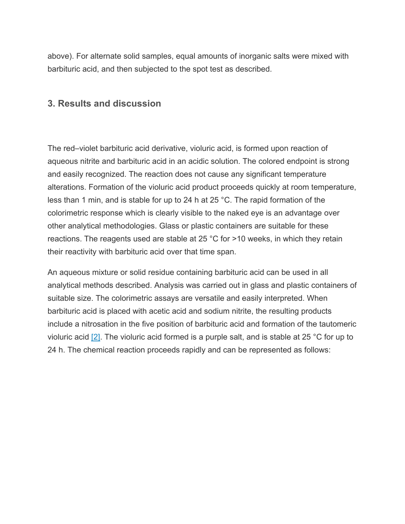above). For alternate solid samples, equal amounts of inorganic salts were mixed with barbituric acid, and then subjected to the spot test as described.

### **3. Results and discussion**

The red–violet barbituric acid derivative, violuric acid, is formed upon reaction of aqueous nitrite and barbituric acid in an acidic solution. The colored endpoint is strong and easily recognized. The reaction does not cause any significant temperature alterations. Formation of the violuric acid product proceeds quickly at room temperature, less than 1 min, and is stable for up to 24 h at 25 °C. The rapid formation of the colorimetric response which is clearly visible to the naked eye is an advantage over other analytical methodologies. Glass or plastic containers are suitable for these reactions. The reagents used are stable at 25 °C for >10 weeks, in which they retain their reactivity with barbituric acid over that time span.

An aqueous mixture or solid residue containing barbituric acid can be used in all analytical methods described. Analysis was carried out in glass and plastic containers of suitable size. The colorimetric assays are versatile and easily interpreted. When barbituric acid is placed with acetic acid and sodium nitrite, the resulting products include a nitrosation in the five position of barbituric acid and formation of the tautomeric violuric acid  $[2]$ . The violuric acid formed is a purple salt, and is stable at 25 °C for up to 24 h. The chemical reaction proceeds rapidly and can be represented as follows: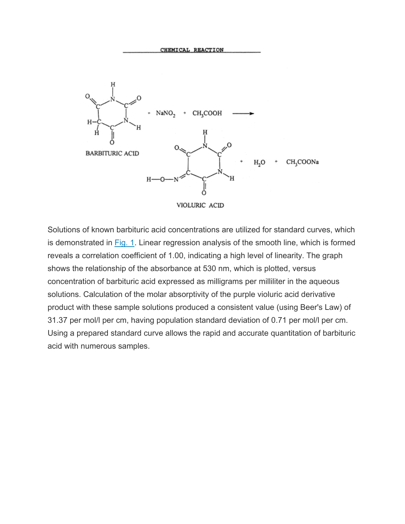

Solutions of known barbituric acid concentrations are utilized for standard curves, which is demonstrated in [Fig. 1.](https://www.sciencedirect.com/science/article/pii/S0731708502001681?via%3Dihub#FIG1) Linear regression analysis of the smooth line, which is formed reveals a correlation coefficient of 1.00, indicating a high level of linearity. The graph shows the relationship of the absorbance at 530 nm, which is plotted, versus concentration of barbituric acid expressed as milligrams per milliliter in the aqueous solutions. Calculation of the molar absorptivity of the purple violuric acid derivative product with these sample solutions produced a consistent value (using Beer's Law) of 31.37 per mol/l per cm, having population standard deviation of 0.71 per mol/l per cm. Using a prepared standard curve allows the rapid and accurate quantitation of barbituric acid with numerous samples.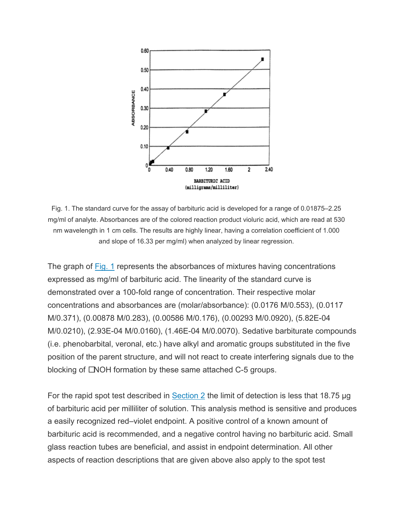

Fig. 1. The standard curve for the assay of barbituric acid is developed for a range of 0.01875–2.25 mg/ml of analyte. Absorbances are of the colored reaction product violuric acid, which are read at 530 nm wavelength in 1 cm cells. The results are highly linear, having a correlation coefficient of 1.000 and slope of 16.33 per mg/ml) when analyzed by linear regression.

The graph of [Fig. 1](https://www.sciencedirect.com/science/article/pii/S0731708502001681?via%3Dihub#FIG1) represents the absorbances of mixtures having concentrations expressed as mg/ml of barbituric acid. The linearity of the standard curve is demonstrated over a 100-fold range of concentration. Their respective molar concentrations and absorbances are (molar/absorbance): (0.0176 M/0.553), (0.0117 M/0.371), (0.00878 M/0.283), (0.00586 M/0.176), (0.00293 M/0.0920), (5.82E-04 M/0.0210), (2.93E-04 M/0.0160), (1.46E-04 M/0.0070). Sedative barbiturate compounds (i.e. phenobarbital, veronal, etc.) have alkyl and aromatic groups substituted in the five position of the parent structure, and will not react to create interfering signals due to the blocking of CNOH formation by these same attached C-5 groups.

For the rapid spot test described in  $Section 2$  the limit of detection is less that 18.75 µg of barbituric acid per milliliter of solution. This analysis method is sensitive and produces a easily recognized red–violet endpoint. A positive control of a known amount of barbituric acid is recommended, and a negative control having no barbituric acid. Small glass reaction tubes are beneficial, and assist in endpoint determination. All other aspects of reaction descriptions that are given above also apply to the spot test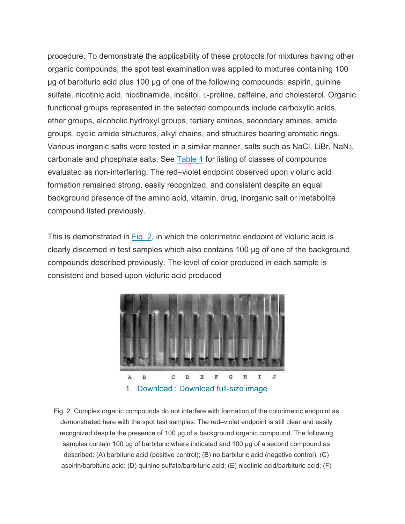procedure. To demonstrate the applicability of these protocols for mixtures having other organic compounds, the spot test examination was applied to mixtures containing 100 μg of barbituric acid plus 100 μg of one of the following compounds: aspirin, quinine sulfate, nicotinic acid, nicotinamide, inositol, L-proline, caffeine, and cholesterol. Organic functional groups represented in the selected compounds include carboxylic acids, ether groups, alcoholic hydroxyl groups, tertiary amines, secondary amines, amide groups, cyclic amide structures, alkyl chains, and structures bearing aromatic rings. Various inorganic salts were tested in a similar manner, salts such as NaCl, LiBr, NaN3, carbonate and phosphate salts. See **[Table 1](https://www.sciencedirect.com/science/article/pii/S0731708502001681?via%3Dihub#TBL1)** for listing of classes of compounds evaluated as non-interfering. The red–violet endpoint observed upon violuric acid formation remained strong, easily recognized, and consistent despite an equal background presence of the amino acid, vitamin, drug, inorganic salt or metabolite compound listed previously.

This is demonstrated in [Fig. 2,](https://www.sciencedirect.com/science/article/pii/S0731708502001681?via%3Dihub#FIG2) in which the colorimetric endpoint of violuric acid is clearly discerned in test samples which also contains 100 μg of one of the background compounds described previously. The level of color produced in each sample is consistent and based upon violuric acid produced



Fig. 2. Complex organic compounds do not interfere with formation of the colorimetric endpoint as demonstrated here with the spot test samples. The red–violet endpoint is still clear and easily recognized despite the presence of 100 μg of a background organic compound. The following samples contain 100 μg of barbituric where indicated and 100 μg of a second compound as described: (A) barbituric acid (positive control); (B) no barbituric acid (negative control); (C) aspirin/barbituric acid; (D) quinine sulfate/barbituric acid; (E) nicotinic acid/barbituric acid; (F)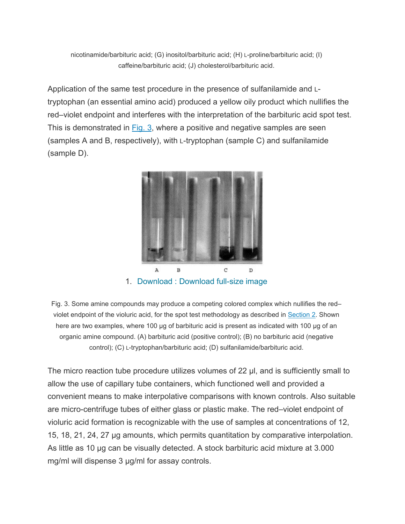nicotinamide/barbituric acid; (G) inositol/barbituric acid; (H) L-proline/barbituric acid; (I) caffeine/barbituric acid; (J) cholesterol/barbituric acid.

Application of the same test procedure in the presence of sulfanilamide and Ltryptophan (an essential amino acid) produced a yellow oily product which nullifies the red–violet endpoint and interferes with the interpretation of the barbituric acid spot test. This is demonstrated in [Fig. 3,](https://www.sciencedirect.com/science/article/pii/S0731708502001681?via%3Dihub#FIG3) where a positive and negative samples are seen (samples A and B, respectively), with L-tryptophan (sample C) and sulfanilamide (sample D).



Fig. 3. Some amine compounds may produce a competing colored complex which nullifies the red– violet endpoint of the violuric acid, for the spot test methodology as described in [Section 2.](https://www.sciencedirect.com/science/article/pii/S0731708502001681?via%3Dihub#SEC2) Shown here are two examples, where 100 μg of barbituric acid is present as indicated with 100 μg of an organic amine compound. (A) barbituric acid (positive control); (B) no barbituric acid (negative control); (C) L-tryptophan/barbituric acid; (D) sulfanilamide/barbituric acid.

The micro reaction tube procedure utilizes volumes of 22 μl, and is sufficiently small to allow the use of capillary tube containers, which functioned well and provided a convenient means to make interpolative comparisons with known controls. Also suitable are micro-centrifuge tubes of either glass or plastic make. The red–violet endpoint of violuric acid formation is recognizable with the use of samples at concentrations of 12, 15, 18, 21, 24, 27 μg amounts, which permits quantitation by comparative interpolation. As little as 10 μg can be visually detected. A stock barbituric acid mixture at 3.000 mg/ml will dispense 3 μg/ml for assay controls.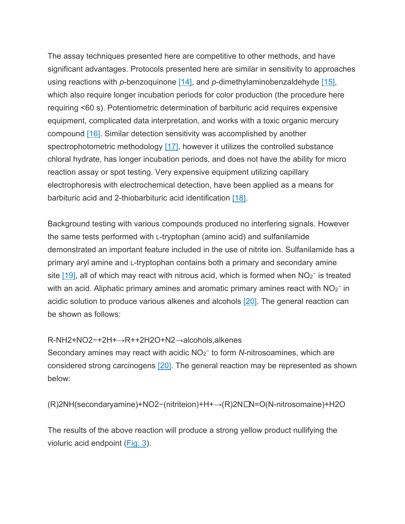The assay techniques presented here are competitive to other methods, and have significant advantages. Protocols presented here are similar in sensitivity to approaches using reactions with *p*-benzoquinone [\[14\],](https://www.sciencedirect.com/science/article/pii/S0731708502001681?via%3Dihub#BIB14) and *p*-dimethylaminobenzaldehyde [\[15\],](https://www.sciencedirect.com/science/article/pii/S0731708502001681?via%3Dihub#BIB15) which also require longer incubation periods for color production (the procedure here requiring <60 s). Potentiometric determination of barbituric acid requires expensive equipment, complicated data interpretation, and works with a toxic organic mercury compound [\[16\].](https://www.sciencedirect.com/science/article/pii/S0731708502001681?via%3Dihub#BIB16) Similar detection sensitivity was accomplished by another spectrophotometric methodology [\[17\],](https://www.sciencedirect.com/science/article/pii/S0731708502001681?via%3Dihub#BIB17) however it utilizes the controlled substance chloral hydrate, has longer incubation periods, and does not have the ability for micro reaction assay or spot testing. Very expensive equipment utilizing capillary electrophoresis with electrochemical detection, have been applied as a means for barbituric acid and 2-thiobarbituric acid identification [\[18\].](https://www.sciencedirect.com/science/article/pii/S0731708502001681?via%3Dihub#BIB18)

Background testing with various compounds produced no interfering signals. However the same tests performed with L-tryptophan (amino acid) and sulfanilamide demonstrated an important feature included in the use of nitrite ion. Sulfanilamide has a primary aryl amine and L-tryptophan contains both a primary and secondary amine site [\[19\],](https://www.sciencedirect.com/science/article/pii/S0731708502001681?via%3Dihub#BIB19) all of which may react with nitrous acid, which is formed when NO<sub>2</sub><sup>−</sup> is treated with an acid. Aliphatic primary amines and aromatic primary amines react with  $NO<sub>2</sub>^-$  in acidic solution to produce various alkenes and alcohols [\[20\].](https://www.sciencedirect.com/science/article/pii/S0731708502001681?via%3Dihub#BIB20) The general reaction can be shown as follows:

#### R-NH2+NO2−+2H+→R++2H2O+N2→alcohols,alkenes

Secondary amines may react with acidic NO2<sup>−</sup> to form *N*-nitrosoamines, which are considered strong carcinogens [\[20\].](https://www.sciencedirect.com/science/article/pii/S0731708502001681?via%3Dihub#BIB20) The general reaction may be represented as shown below:

(R)2NH(secondaryamine)+NO2−(nitriteion)+H+→(R)2NN=O(N-nitrosomaine)+H2O

The results of the above reaction will produce a strong yellow product nullifying the violuric acid endpoint [\(Fig. 3\)](https://www.sciencedirect.com/science/article/pii/S0731708502001681?via%3Dihub#FIG3).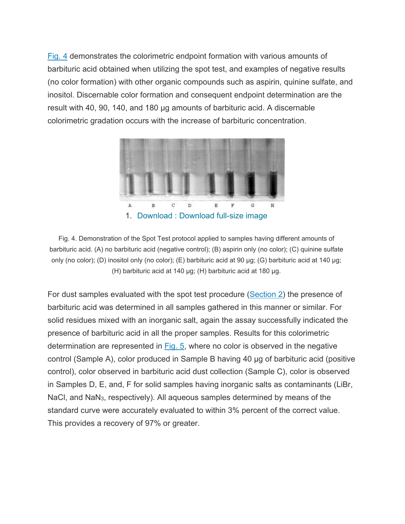[Fig. 4](https://www.sciencedirect.com/science/article/pii/S0731708502001681?via%3Dihub#FIG4) demonstrates the colorimetric endpoint formation with various amounts of barbituric acid obtained when utilizing the spot test, and examples of negative results (no color formation) with other organic compounds such as aspirin, quinine sulfate, and inositol. Discernable color formation and consequent endpoint determination are the result with 40, 90, 140, and 180 μg amounts of barbituric acid. A discernable colorimetric gradation occurs with the increase of barbituric concentration.



Fig. 4. Demonstration of the Spot Test protocol applied to samples having different amounts of barbituric acid. (A) no barbituric acid (negative control); (B) aspirin only (no color); (C) quinine sulfate only (no color); (D) inositol only (no color); (E) barbituric acid at 90 μg; (G) barbituric acid at 140 μg; (H) barbituric acid at 140 μg; (H) barbituric acid at 180 μg.

For dust samples evaluated with the spot test procedure [\(Section 2\)](https://www.sciencedirect.com/science/article/pii/S0731708502001681?via%3Dihub#SEC2) the presence of barbituric acid was determined in all samples gathered in this manner or similar. For solid residues mixed with an inorganic salt, again the assay successfully indicated the presence of barbituric acid in all the proper samples. Results for this colorimetric determination are represented in [Fig. 5,](https://www.sciencedirect.com/science/article/pii/S0731708502001681?via%3Dihub#FIG5) where no color is observed in the negative control (Sample A), color produced in Sample B having 40 μg of barbituric acid (positive control), color observed in barbituric acid dust collection (Sample C), color is observed in Samples D, E, and, F for solid samples having inorganic salts as contaminants (LiBr, NaCI, and NaN<sub>3</sub>, respectively). All aqueous samples determined by means of the standard curve were accurately evaluated to within 3% percent of the correct value. This provides a recovery of 97% or greater.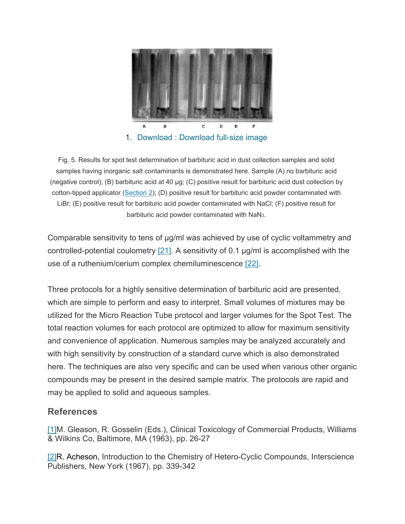

1. Download : [Download full-size image](https://ars.els-cdn.com/content/image/1-s2.0-S0731708502001681-gr5.jpg)

Fig. 5. Results for spot test determination of barbituric acid in dust collection samples and solid samples having inorganic salt contaminants is demonstrated here. Sample (A) no barbituric acid (negative control); (B) barbituric acid at 40 μg; (C) positive result for barbituric acid dust collection by cotton-tipped applicator [\(Section 2\)](https://www.sciencedirect.com/science/article/pii/S0731708502001681?via%3Dihub#SEC2); (D) positive result for barbituric acid powder contaminated with LiBr; (E) positive result for barbituric acid powder contaminated with NaCl; (F) positive result for barbituric acid powder contaminated with NaN3.

Comparable sensitivity to tens of μg/ml was achieved by use of cyclic voltammetry and controlled-potential coulometry  $[21]$ . A sensitivity of 0.1  $\mu$ g/ml is accomplished with the use of a ruthenium/cerium complex chemiluminescence [\[22\].](https://www.sciencedirect.com/science/article/pii/S0731708502001681?via%3Dihub#BIB22)

Three protocols for a highly sensitive determination of barbituric acid are presented, which are simple to perform and easy to interpret. Small volumes of mixtures may be utilized for the Micro Reaction Tube protocol and larger volumes for the Spot Test. The total reaction volumes for each protocol are optimized to allow for maximum sensitivity and convenience of application. Numerous samples may be analyzed accurately and with high sensitivity by construction of a standard curve which is also demonstrated here. The techniques are also very specific and can be used when various other organic compounds may be present in the desired sample matrix. The protocols are rapid and may be applied to solid and aqueous samples.

## **References**

[\[1\]M](https://www.sciencedirect.com/science/article/pii/S0731708502001681?via%3Dihub#bBIB1). Gleason, R. Gosselin (Eds.), Clinical Toxicology of Commercial Products, Williams & Wilkins Co, Baltimore, MA (1963), pp. 26-27

[\[2\]R](https://www.sciencedirect.com/science/article/pii/S0731708502001681?via%3Dihub#bBIB2). Acheson, Introduction to the Chemistry of Hetero-Cyclic Compounds, Interscience Publishers, New York (1967), pp. 339-342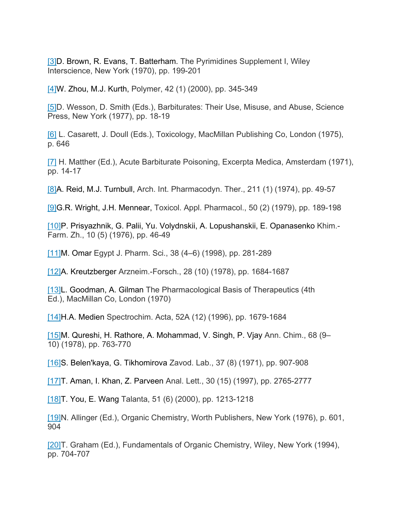[\[3\]D](https://www.sciencedirect.com/science/article/pii/S0731708502001681?via%3Dihub#bBIB3). Brown, R. Evans, T. Batterham. The Pyrimidines Supplement I, Wiley Interscience, New York (1970), pp. 199-201

[\[4\]W](https://www.sciencedirect.com/science/article/pii/S0731708502001681?via%3Dihub#bBIB4). Zhou, M.J. Kurth, Polymer, 42 (1) (2000), pp. 345-349

[\[5\]D](https://www.sciencedirect.com/science/article/pii/S0731708502001681?via%3Dihub#bBIB5). Wesson, D. Smith (Eds.), Barbiturates: Their Use, Misuse, and Abuse, Science Press, New York (1977), pp. 18-19

[\[6\]](https://www.sciencedirect.com/science/article/pii/S0731708502001681?via%3Dihub#bBIB6) L. Casarett, J. Doull (Eds.), Toxicology, MacMillan Publishing Co, London (1975), p. 646

[\[7\]](https://www.sciencedirect.com/science/article/pii/S0731708502001681?via%3Dihub#bBIB7) H. Matther (Ed.), Acute Barbiturate Poisoning, Excerpta Medica, Amsterdam (1971), pp. 14-17

[\[8\]A](https://www.sciencedirect.com/science/article/pii/S0731708502001681?via%3Dihub#bBIB8). Reid, M.J. Turnbull, Arch. Int. Pharmacodyn. Ther., 211 (1) (1974), pp. 49-57

[\[9\]G](https://www.sciencedirect.com/science/article/pii/S0731708502001681?via%3Dihub#bBIB9).R. Wright, J.H. Mennear, Toxicol. Appl. Pharmacol., 50 (2) (1979), pp. 189-198

[\[10\]P](https://www.sciencedirect.com/science/article/pii/S0731708502001681?via%3Dihub#bBIB10). Prisyazhnik, G. Palii, Yu. Volydnskii, A. Lopushanskii, E. Opanasenko Khim.- Farm. Zh., 10 (5) (1976), pp. 46-49

[\[11\]M](https://www.sciencedirect.com/science/article/pii/S0731708502001681?via%3Dihub#bBIB11). Omar Egypt J. Pharm. Sci., 38 (4–6) (1998), pp. 281-289

[\[12\]A](https://www.sciencedirect.com/science/article/pii/S0731708502001681?via%3Dihub#bBIB12). Kreutzberger Arzneim.-Forsch., 28 (10) (1978), pp. 1684-1687

[\[13\]L](https://www.sciencedirect.com/science/article/pii/S0731708502001681?via%3Dihub#bBIB13). Goodman, A. Gilman The Pharmacological Basis of Therapeutics (4th Ed.), MacMillan Co, London (1970)

[\[14\]H](https://www.sciencedirect.com/science/article/pii/S0731708502001681?via%3Dihub#bBIB14).A. Medien Spectrochim. Acta, 52A (12) (1996), pp. 1679-1684

[\[15\]M](https://www.sciencedirect.com/science/article/pii/S0731708502001681?via%3Dihub#bBIB15). Qureshi, H. Rathore, A. Mohammad, V. Singh, P. Vjay Ann. Chim., 68 (9– 10) (1978), pp. 763-770

[\[16\]S](https://www.sciencedirect.com/science/article/pii/S0731708502001681?via%3Dihub#bBIB16). Belen'kaya, G. Tikhomirova Zavod. Lab., 37 (8) (1971), pp. 907-908

[\[17\]T](https://www.sciencedirect.com/science/article/pii/S0731708502001681?via%3Dihub#bBIB17). Aman, I. Khan, Z. Parveen Anal. Lett., 30 (15) (1997), pp. 2765-2777

[\[18\]T](https://www.sciencedirect.com/science/article/pii/S0731708502001681?via%3Dihub#bBIB18). You, E. Wang Talanta, 51 (6) (2000), pp. 1213-1218

[\[19\]N](https://www.sciencedirect.com/science/article/pii/S0731708502001681?via%3Dihub#bBIB19). Allinger (Ed.), Organic Chemistry, Worth Publishers, New York (1976), p. 601, 904

[\[20\]T](https://www.sciencedirect.com/science/article/pii/S0731708502001681?via%3Dihub#bBIB20). Graham (Ed.), Fundamentals of Organic Chemistry, Wiley, New York (1994), pp. 704-707